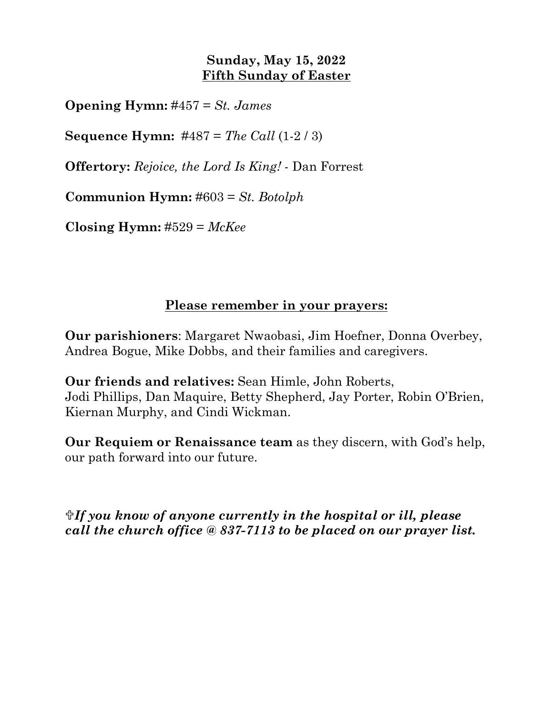## **Sunday, May 15, 2022 Fifth Sunday of Easter**

**Opening Hymn:** #457 = *St. James*

**Sequence Hymn:** #487 = *The Call* (1-2 / 3)

**Offertory:** *Rejoice, the Lord Is King!* - Dan Forrest

**Communion Hymn:** #603 = *St. Botolph*

**Closing Hymn:** #529 = *McKee*

## **Please remember in your prayers:**

**Our parishioners**: Margaret Nwaobasi, Jim Hoefner, Donna Overbey, Andrea Bogue, Mike Dobbs, and their families and caregivers.

**Our friends and relatives:** Sean Himle, John Roberts, Jodi Phillips, Dan Maquire, Betty Shepherd, Jay Porter, Robin O'Brien, Kiernan Murphy, and Cindi Wickman.

**Our Requiem or Renaissance team** as they discern, with God's help, our path forward into our future.

*If you know of anyone currently in the hospital or ill, please call the church office @ 837-7113 to be placed on our prayer list.*